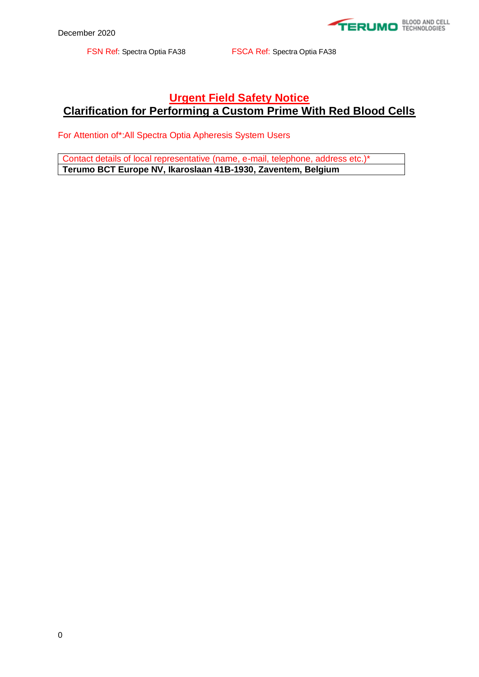

## **Urgent Field Safety Notice Clarification for Performing a Custom Prime With Red Blood Cells**

For Attention of\*:All Spectra Optia Apheresis System Users

Contact details of local representative (name, e-mail, telephone, address etc.)\* **Terumo BCT Europe NV, Ikaroslaan 41B-1930, Zaventem, Belgium**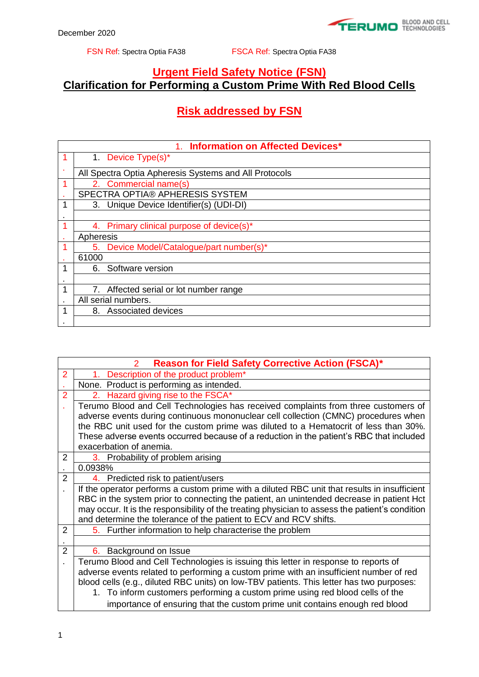## **Urgent Field Safety Notice (FSN) Clarification for Performing a Custom Prime With Red Blood Cells**

## **Risk addressed by FSN**

| 1. Information on Affected Devices* |                                                       |  |  |  |
|-------------------------------------|-------------------------------------------------------|--|--|--|
|                                     | 1. Device Type(s)*                                    |  |  |  |
|                                     | All Spectra Optia Apheresis Systems and All Protocols |  |  |  |
| 1                                   | 2. Commercial name(s)                                 |  |  |  |
|                                     | SPECTRA OPTIA® APHERESIS SYSTEM                       |  |  |  |
|                                     | 3. Unique Device Identifier(s) (UDI-DI)               |  |  |  |
|                                     |                                                       |  |  |  |
|                                     | 4. Primary clinical purpose of device(s)*             |  |  |  |
|                                     | Apheresis                                             |  |  |  |
|                                     | 5. Device Model/Catalogue/part number(s)*             |  |  |  |
|                                     | 61000                                                 |  |  |  |
|                                     | 6. Software version                                   |  |  |  |
|                                     |                                                       |  |  |  |
|                                     | 7. Affected serial or lot number range                |  |  |  |
|                                     | All serial numbers.                                   |  |  |  |
| 1                                   | 8. Associated devices                                 |  |  |  |
|                                     |                                                       |  |  |  |

|                | <b>Reason for Field Safety Corrective Action (FSCA)*</b><br>2                                   |  |  |  |
|----------------|-------------------------------------------------------------------------------------------------|--|--|--|
| 2              | 1. Description of the product problem*                                                          |  |  |  |
|                | None. Product is performing as intended.                                                        |  |  |  |
| $\overline{2}$ | 2. Hazard giving rise to the FSCA*                                                              |  |  |  |
|                | Terumo Blood and Cell Technologies has received complaints from three customers of              |  |  |  |
|                | adverse events during continuous mononuclear cell collection (CMNC) procedures when             |  |  |  |
|                | the RBC unit used for the custom prime was diluted to a Hematocrit of less than 30%.            |  |  |  |
|                | These adverse events occurred because of a reduction in the patient's RBC that included         |  |  |  |
|                | exacerbation of anemia.                                                                         |  |  |  |
| 2              | 3. Probability of problem arising                                                               |  |  |  |
|                | 0.0938%                                                                                         |  |  |  |
| $\overline{2}$ | 4. Predicted risk to patient/users                                                              |  |  |  |
|                | If the operator performs a custom prime with a diluted RBC unit that results in insufficient    |  |  |  |
|                | RBC in the system prior to connecting the patient, an unintended decrease in patient Hct        |  |  |  |
|                | may occur. It is the responsibility of the treating physician to assess the patient's condition |  |  |  |
|                | and determine the tolerance of the patient to ECV and RCV shifts.                               |  |  |  |
| $\overline{2}$ | 5. Further information to help characterise the problem                                         |  |  |  |
|                |                                                                                                 |  |  |  |
| $\overline{2}$ | 6. Background on Issue                                                                          |  |  |  |
|                | Terumo Blood and Cell Technologies is issuing this letter in response to reports of             |  |  |  |
|                | adverse events related to performing a custom prime with an insufficient number of red          |  |  |  |
|                | blood cells (e.g., diluted RBC units) on low-TBV patients. This letter has two purposes:        |  |  |  |
|                | 1. To inform customers performing a custom prime using red blood cells of the                   |  |  |  |
|                | importance of ensuring that the custom prime unit contains enough red blood                     |  |  |  |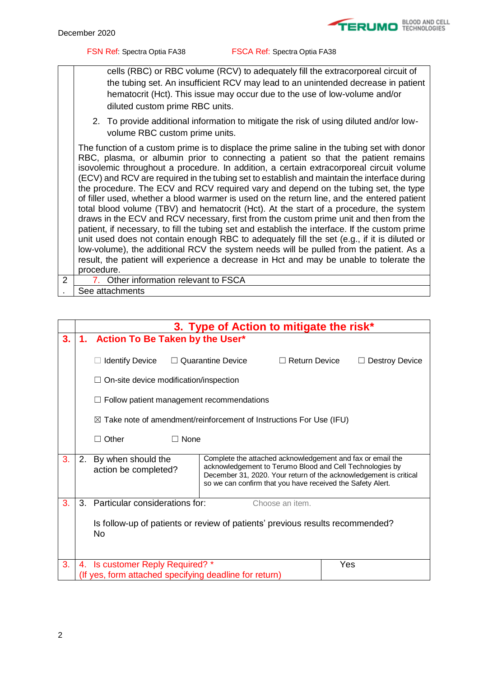cells (RBC) or RBC volume (RCV) to adequately fill the extracorporeal circuit of the tubing set. An insufficient RCV may lead to an unintended decrease in patient hematocrit (Hct). This issue may occur due to the use of low-volume and/or diluted custom prime RBC units.

2. To provide additional information to mitigate the risk of using diluted and/or lowvolume RBC custom prime units.

The function of a custom prime is to displace the prime saline in the tubing set with donor RBC, plasma, or albumin prior to connecting a patient so that the patient remains isovolemic throughout a procedure. In addition, a certain extracorporeal circuit volume (ECV) and RCV are required in the tubing set to establish and maintain the interface during the procedure. The ECV and RCV required vary and depend on the tubing set, the type of filler used, whether a blood warmer is used on the return line, and the entered patient total blood volume (TBV) and hematocrit (Hct). At the start of a procedure, the system draws in the ECV and RCV necessary, first from the custom prime unit and then from the patient, if necessary, to fill the tubing set and establish the interface. If the custom prime unit used does not contain enough RBC to adequately fill the set (e.g., if it is diluted or low-volume), the additional RCV the system needs will be pulled from the patient. As a result, the patient will experience a decrease in Hct and may be unable to tolerate the procedure. 7. Other information relevant to FSCA

2 See attachments

.

|    | 3. Type of Action to mitigate the risk* |                                                                                            |                                                                                                                                                                                      |                      |                                                                   |
|----|-----------------------------------------|--------------------------------------------------------------------------------------------|--------------------------------------------------------------------------------------------------------------------------------------------------------------------------------------|----------------------|-------------------------------------------------------------------|
| 3. | 1.                                      | <b>Action To Be Taken by the User*</b>                                                     |                                                                                                                                                                                      |                      |                                                                   |
|    |                                         | <b>Identify Device</b><br>$\Box$ On-site device modification/inspection                    | $\Box$ Quarantine Device                                                                                                                                                             | $\Box$ Return Device | <b>Destroy Device</b>                                             |
|    |                                         | $\Box$ Follow patient management recommendations                                           |                                                                                                                                                                                      |                      |                                                                   |
|    |                                         | $\boxtimes$ Take note of amendment/reinforcement of Instructions For Use (IFU)             |                                                                                                                                                                                      |                      |                                                                   |
|    |                                         | $\Box$ None<br>Other<br>$\Box$                                                             |                                                                                                                                                                                      |                      |                                                                   |
| 3. | 2.                                      | By when should the<br>action be completed?                                                 | Complete the attached acknowledgement and fax or email the<br>acknowledgement to Terumo Blood and Cell Technologies by<br>so we can confirm that you have received the Safety Alert. |                      | December 31, 2020. Your return of the acknowledgement is critical |
| 3. | 3.                                      | Particular considerations for:                                                             |                                                                                                                                                                                      | Choose an item.      |                                                                   |
|    |                                         | Is follow-up of patients or review of patients' previous results recommended?<br><b>No</b> |                                                                                                                                                                                      |                      |                                                                   |
| 3. |                                         | 4. Is customer Reply Required? *<br>(If yes, form attached specifying deadline for return) |                                                                                                                                                                                      |                      | Yes                                                               |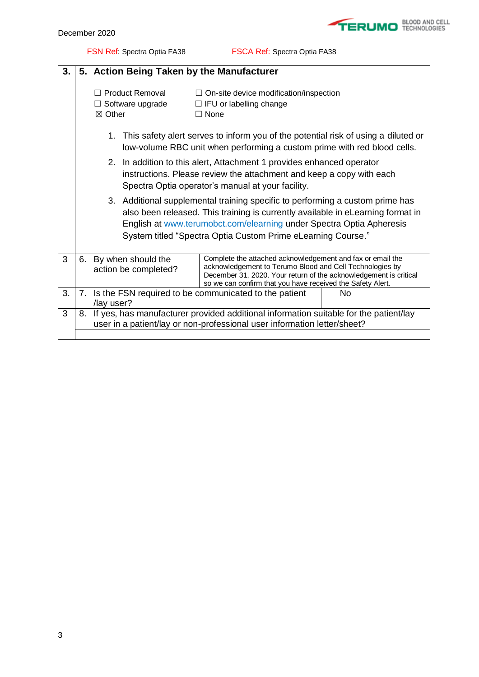

| 3. | 5. Action Being Taken by the Manufacturer                                                                                                                            |                                                                                                                                                                                                    |                                                                                                                                                                                                                                                                                                          |  |  |
|----|----------------------------------------------------------------------------------------------------------------------------------------------------------------------|----------------------------------------------------------------------------------------------------------------------------------------------------------------------------------------------------|----------------------------------------------------------------------------------------------------------------------------------------------------------------------------------------------------------------------------------------------------------------------------------------------------------|--|--|
|    |                                                                                                                                                                      | $\Box$ Product Removal<br>$\Box$ Software upgrade<br>$\boxtimes$ Other                                                                                                                             | $\Box$ On-site device modification/inspection<br>$\Box$ IFU or labelling change<br>$\Box$ None                                                                                                                                                                                                           |  |  |
|    | This safety alert serves to inform you of the potential risk of using a diluted or<br>1.<br>low-volume RBC unit when performing a custom prime with red blood cells. |                                                                                                                                                                                                    |                                                                                                                                                                                                                                                                                                          |  |  |
|    |                                                                                                                                                                      | 2. In addition to this alert, Attachment 1 provides enhanced operator<br>instructions. Please review the attachment and keep a copy with each<br>Spectra Optia operator's manual at your facility. |                                                                                                                                                                                                                                                                                                          |  |  |
|    |                                                                                                                                                                      |                                                                                                                                                                                                    | 3. Additional supplemental training specific to performing a custom prime has<br>also been released. This training is currently available in eLearning format in<br>English at www.terumobct.com/elearning under Spectra Optia Apheresis<br>System titled "Spectra Optia Custom Prime eLearning Course." |  |  |
| 3  |                                                                                                                                                                      | 6. By when should the<br>action be completed?                                                                                                                                                      | Complete the attached acknowledgement and fax or email the<br>acknowledgement to Terumo Blood and Cell Technologies by<br>December 31, 2020. Your return of the acknowledgement is critical<br>so we can confirm that you have received the Safety Alert.                                                |  |  |
| 3. |                                                                                                                                                                      | /lay user?                                                                                                                                                                                         | 7. Is the FSN required to be communicated to the patient<br>No                                                                                                                                                                                                                                           |  |  |
| 3  | 8. If yes, has manufacturer provided additional information suitable for the patient/lay<br>user in a patient/lay or non-professional user information letter/sheet? |                                                                                                                                                                                                    |                                                                                                                                                                                                                                                                                                          |  |  |